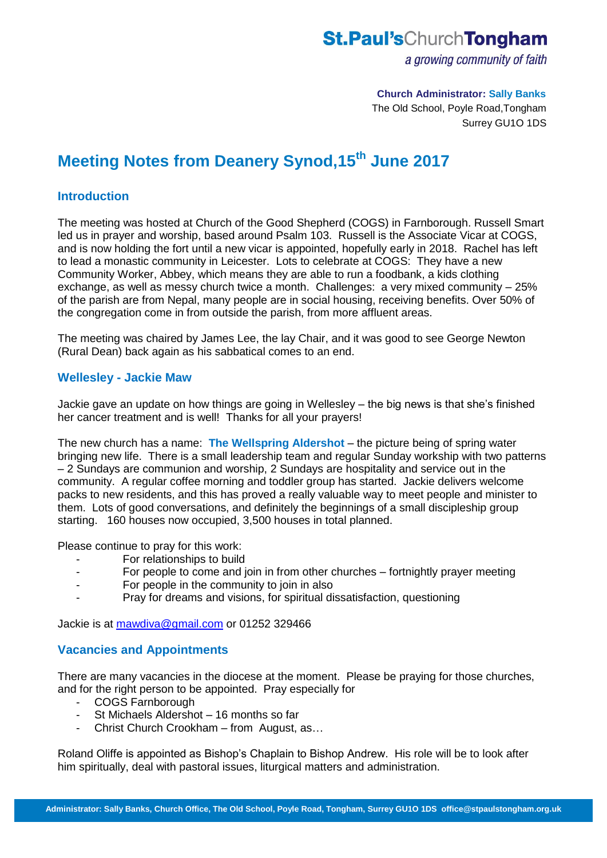# **St.Paul'sChurchTongham**

a growing community of faith

#### **Church Administrator: Sally Banks**

The Old School, Poyle Road,Tongham Surrey GU1O 1DS

# **Meeting Notes from Deanery Synod,15th June 2017**

### **Introduction**

The meeting was hosted at Church of the Good Shepherd (COGS) in Farnborough. Russell Smart led us in prayer and worship, based around Psalm 103. Russell is the Associate Vicar at COGS, and is now holding the fort until a new vicar is appointed, hopefully early in 2018. Rachel has left to lead a monastic community in Leicester. Lots to celebrate at COGS: They have a new Community Worker, Abbey, which means they are able to run a foodbank, a kids clothing exchange, as well as messy church twice a month. Challenges: a very mixed community – 25% of the parish are from Nepal, many people are in social housing, receiving benefits. Over 50% of the congregation come in from outside the parish, from more affluent areas.

The meeting was chaired by James Lee, the lay Chair, and it was good to see George Newton (Rural Dean) back again as his sabbatical comes to an end.

### **Wellesley - Jackie Maw**

Jackie gave an update on how things are going in Wellesley – the big news is that she's finished her cancer treatment and is well! Thanks for all your prayers!

The new church has a name: **The Wellspring Aldershot** – the picture being of spring water bringing new life. There is a small leadership team and regular Sunday workship with two patterns – 2 Sundays are communion and worship, 2 Sundays are hospitality and service out in the community. A regular coffee morning and toddler group has started. Jackie delivers welcome packs to new residents, and this has proved a really valuable way to meet people and minister to them. Lots of good conversations, and definitely the beginnings of a small discipleship group starting. 160 houses now occupied, 3,500 houses in total planned.

Please continue to pray for this work:

- For relationships to build
- For people to come and join in from other churches fortnightly prayer meeting
- For people in the community to join in also
- Pray for dreams and visions, for spiritual dissatisfaction, questioning

Jackie is at [mawdiva@gmail.com](mailto:mawdiva@gmail.com) or 01252 329466

### **Vacancies and Appointments**

There are many vacancies in the diocese at the moment. Please be praying for those churches, and for the right person to be appointed. Pray especially for

- COGS Farnborough
- St Michaels Aldershot 16 months so far
- Christ Church Crookham from August, as…

Roland Oliffe is appointed as Bishop's Chaplain to Bishop Andrew. His role will be to look after him spiritually, deal with pastoral issues, liturgical matters and administration.